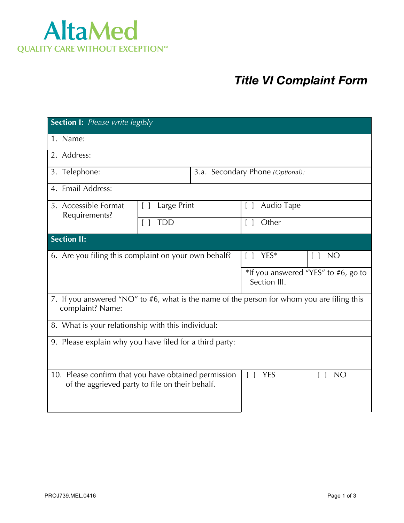

## *Title VI Complaint Form*

| <b>Section I:</b> Please write legibly                                                                         |             |                                  |                                                     |                     |  |
|----------------------------------------------------------------------------------------------------------------|-------------|----------------------------------|-----------------------------------------------------|---------------------|--|
| 1. Name:                                                                                                       |             |                                  |                                                     |                     |  |
| 2. Address:                                                                                                    |             |                                  |                                                     |                     |  |
| 3. Telephone:                                                                                                  |             | 3.a. Secondary Phone (Optional): |                                                     |                     |  |
| 4. Email Address:                                                                                              |             |                                  |                                                     |                     |  |
| 5. Accessible Format<br>Requirements?                                                                          | Large Print |                                  | Audio Tape<br>$\Box$                                |                     |  |
|                                                                                                                | <b>TDD</b>  |                                  | Other<br>$\lceil$ $\rceil$                          |                     |  |
| <b>Section II:</b>                                                                                             |             |                                  |                                                     |                     |  |
| 6. Are you filing this complaint on your own behalf?                                                           |             |                                  | YES*<br>$\Box$                                      | <b>NO</b><br>$\Box$ |  |
|                                                                                                                |             |                                  | *If you answered "YES" to #6, go to<br>Section III. |                     |  |
| 7. If you answered "NO" to #6, what is the name of the person for whom you are filing this<br>complaint? Name: |             |                                  |                                                     |                     |  |
| 8. What is your relationship with this individual:                                                             |             |                                  |                                                     |                     |  |
| 9. Please explain why you have filed for a third party:                                                        |             |                                  |                                                     |                     |  |
| 10. Please confirm that you have obtained permission<br>of the aggrieved party to file on their behalf.        |             |                                  | <b>YES</b><br>$\lceil$ $\rceil$                     | <b>NO</b>           |  |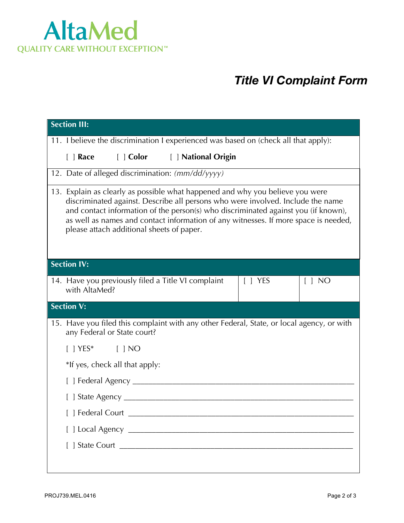

## *Title VI Complaint Form*

| <b>Section III:</b>                                                                                                                                                                                                                                                                                                                                                                        |  |  |  |  |
|--------------------------------------------------------------------------------------------------------------------------------------------------------------------------------------------------------------------------------------------------------------------------------------------------------------------------------------------------------------------------------------------|--|--|--|--|
| 11. I believe the discrimination I experienced was based on (check all that apply):                                                                                                                                                                                                                                                                                                        |  |  |  |  |
| [ ] Color [ ] National Origin<br>$\lceil \; \rceil$ Race                                                                                                                                                                                                                                                                                                                                   |  |  |  |  |
| 12. Date of alleged discrimination: (mm/dd/yyyy)                                                                                                                                                                                                                                                                                                                                           |  |  |  |  |
| 13. Explain as clearly as possible what happened and why you believe you were<br>discriminated against. Describe all persons who were involved. Include the name<br>and contact information of the person(s) who discriminated against you (if known),<br>as well as names and contact information of any witnesses. If more space is needed,<br>please attach additional sheets of paper. |  |  |  |  |
| <b>Section IV:</b>                                                                                                                                                                                                                                                                                                                                                                         |  |  |  |  |
| 14. Have you previously filed a Title VI complaint<br>$\lceil \ \rceil$ YES<br>$\lceil$   NO<br>with AltaMed?                                                                                                                                                                                                                                                                              |  |  |  |  |
| <b>Section V:</b>                                                                                                                                                                                                                                                                                                                                                                          |  |  |  |  |
| 15. Have you filed this complaint with any other Federal, State, or local agency, or with<br>any Federal or State court?                                                                                                                                                                                                                                                                   |  |  |  |  |
| $[$   YES* $[$   NO                                                                                                                                                                                                                                                                                                                                                                        |  |  |  |  |
| *If yes, check all that apply:                                                                                                                                                                                                                                                                                                                                                             |  |  |  |  |
| [ ] Federal Agency __________                                                                                                                                                                                                                                                                                                                                                              |  |  |  |  |
| $[$ State Agency $\frac{1}{2}$                                                                                                                                                                                                                                                                                                                                                             |  |  |  |  |
|                                                                                                                                                                                                                                                                                                                                                                                            |  |  |  |  |
|                                                                                                                                                                                                                                                                                                                                                                                            |  |  |  |  |
|                                                                                                                                                                                                                                                                                                                                                                                            |  |  |  |  |
|                                                                                                                                                                                                                                                                                                                                                                                            |  |  |  |  |